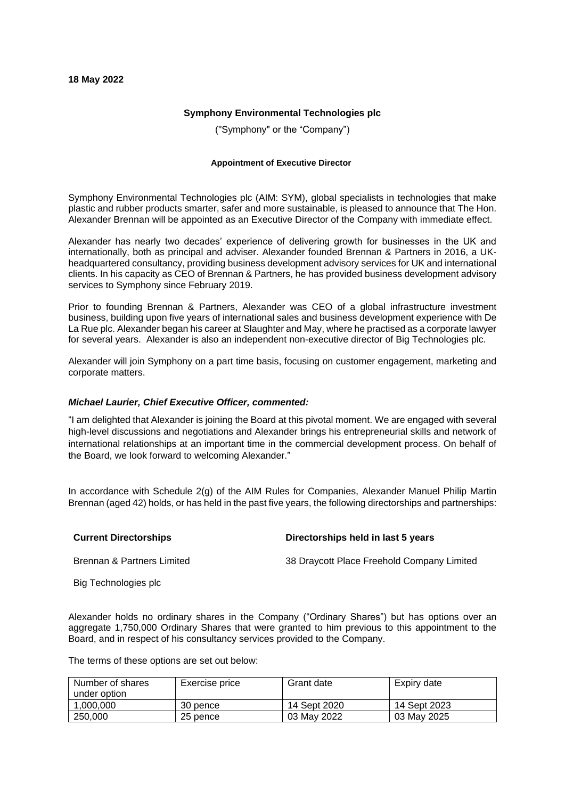### **18 May 2022**

## **Symphony Environmental Technologies plc**

("Symphony" or the "Company")

### **Appointment of Executive Director**

Symphony Environmental Technologies plc (AIM: SYM), global specialists in technologies that make plastic and rubber products smarter, safer and more sustainable, is pleased to announce that The Hon. Alexander Brennan will be appointed as an Executive Director of the Company with immediate effect.

Alexander has nearly two decades' experience of delivering growth for businesses in the UK and internationally, both as principal and adviser. Alexander founded Brennan & Partners in 2016, a UKheadquartered consultancy, providing business development advisory services for UK and international clients. In his capacity as CEO of Brennan & Partners, he has provided business development advisory services to Symphony since February 2019.

Prior to founding Brennan & Partners, Alexander was CEO of a global infrastructure investment business, building upon five years of international sales and business development experience with De La Rue plc. Alexander began his career at Slaughter and May, where he practised as a corporate lawyer for several years. Alexander is also an independent non-executive director of Big Technologies plc.

Alexander will join Symphony on a part time basis, focusing on customer engagement, marketing and corporate matters.

## *Michael Laurier, Chief Executive Officer, commented:*

"I am delighted that Alexander is joining the Board at this pivotal moment. We are engaged with several high-level discussions and negotiations and Alexander brings his entrepreneurial skills and network of international relationships at an important time in the commercial development process. On behalf of the Board, we look forward to welcoming Alexander."

In accordance with Schedule 2(g) of the AIM Rules for Companies, Alexander Manuel Philip Martin Brennan (aged 42) holds, or has held in the past five years, the following directorships and partnerships:

## **Current Directorships Directorships held in last 5 years**

Brennan & Partners Limited

38 Draycott Place Freehold Company Limited

Big Technologies plc

Alexander holds no ordinary shares in the Company ("Ordinary Shares") but has options over an aggregate 1,750,000 Ordinary Shares that were granted to him previous to this appointment to the Board, and in respect of his consultancy services provided to the Company.

The terms of these options are set out below:

| Number of shares<br>under option | Exercise price | Grant date   | Expiry date  |
|----------------------------------|----------------|--------------|--------------|
| 1,000,000                        | 30 pence       | 14 Sept 2020 | 14 Sept 2023 |
| 250,000                          | 25 pence       | 03 May 2022  | 03 May 2025  |